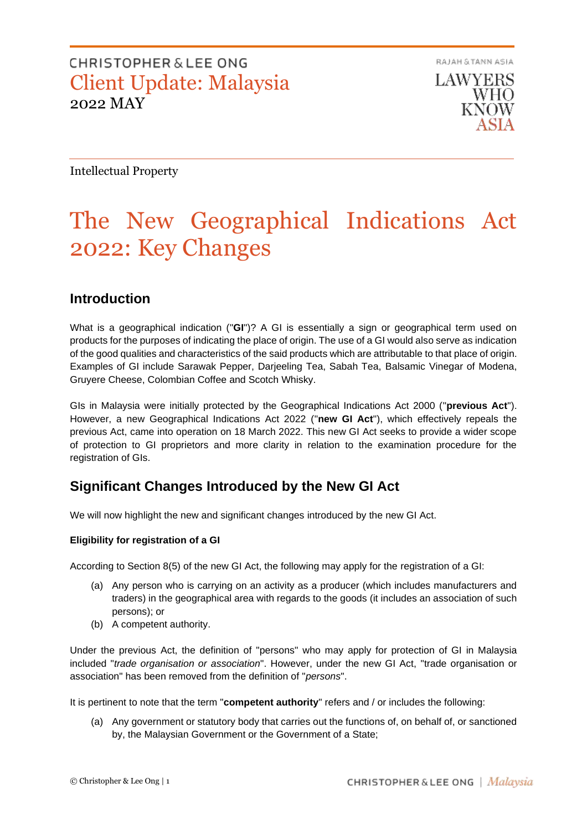RAJAH & TANN ASIA LAWYERS WHO. KNOW

Intellectual Property

# The New Geographical Indications Act 2022: Key Changes

#### **Introduction**

What is a geographical indication ("**GI**")? A GI is essentially a sign or geographical term used on products for the purposes of indicating the place of origin. The use of a GI would also serve as indication of the good qualities and characteristics of the said products which are attributable to that place of origin. Examples of GI include Sarawak Pepper, Darjeeling Tea, Sabah Tea, Balsamic Vinegar of Modena, Gruyere Cheese, Colombian Coffee and Scotch Whisky.

GIs in Malaysia were initially protected by the Geographical Indications Act 2000 ("**previous Act**"). However, a new Geographical Indications Act 2022 ("**new GI Act**"), which effectively repeals the previous Act, came into operation on 18 March 2022. This new GI Act seeks to provide a wider scope of protection to GI proprietors and more clarity in relation to the examination procedure for the registration of GIs.

#### **Significant Changes Introduced by the New GI Act**

We will now highlight the new and significant changes introduced by the new GI Act.

#### **Eligibility for registration of a GI**

According to Section 8(5) of the new GI Act, the following may apply for the registration of a GI:

- (a) Any person who is carrying on an activity as a producer (which includes manufacturers and traders) in the geographical area with regards to the goods (it includes an association of such persons); or
- (b) A competent authority.

Under the previous Act, the definition of "persons" who may apply for protection of GI in Malaysia included "*trade organisation or association*". However, under the new GI Act, "trade organisation or association" has been removed from the definition of "*persons*".

It is pertinent to note that the term "**competent authority**" refers and / or includes the following:

(a) Any government or statutory body that carries out the functions of, on behalf of, or sanctioned by, the Malaysian Government or the Government of a State;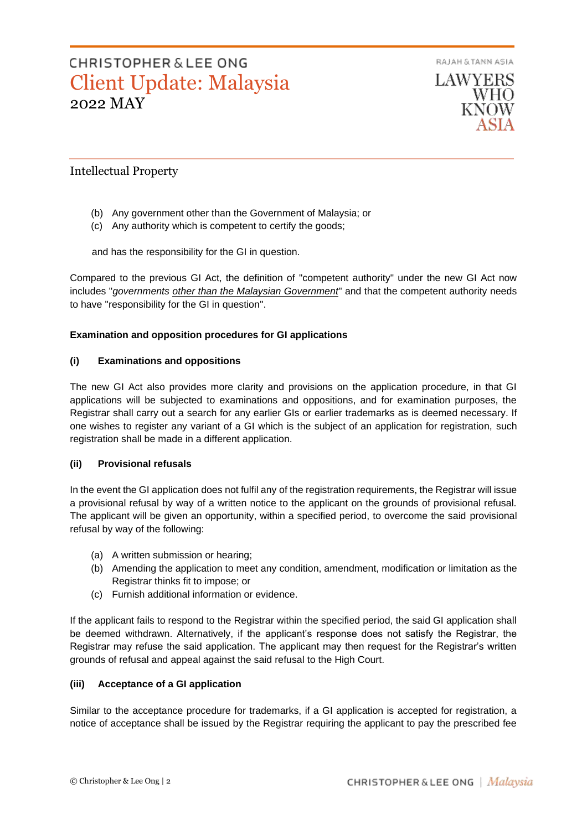RAJAH & TANN ASIA

## **CHRISTOPHER & LEE ONG** Client Update: Malaysia 2022 MAY

**LAWYERS WHO** KNOW

#### Intellectual Property

- (b) Any government other than the Government of Malaysia; or
- (c) Any authority which is competent to certify the goods;

and has the responsibility for the GI in question.

Compared to the previous GI Act, the definition of "competent authority" under the new GI Act now includes "*governments other than the Malaysian Government*" and that the competent authority needs to have "responsibility for the GI in question".

#### **Examination and opposition procedures for GI applications**

#### **(i) Examinations and oppositions**

The new GI Act also provides more clarity and provisions on the application procedure, in that GI applications will be subjected to examinations and oppositions, and for examination purposes, the Registrar shall carry out a search for any earlier GIs or earlier trademarks as is deemed necessary. If one wishes to register any variant of a GI which is the subject of an application for registration, such registration shall be made in a different application.

#### **(ii) Provisional refusals**

In the event the GI application does not fulfil any of the registration requirements, the Registrar will issue a provisional refusal by way of a written notice to the applicant on the grounds of provisional refusal. The applicant will be given an opportunity, within a specified period, to overcome the said provisional refusal by way of the following:

- (a) A written submission or hearing;
- (b) Amending the application to meet any condition, amendment, modification or limitation as the Registrar thinks fit to impose; or
- (c) Furnish additional information or evidence.

If the applicant fails to respond to the Registrar within the specified period, the said GI application shall be deemed withdrawn. Alternatively, if the applicant's response does not satisfy the Registrar, the Registrar may refuse the said application. The applicant may then request for the Registrar's written grounds of refusal and appeal against the said refusal to the High Court.

#### **(iii) Acceptance of a GI application**

Similar to the acceptance procedure for trademarks, if a GI application is accepted for registration, a notice of acceptance shall be issued by the Registrar requiring the applicant to pay the prescribed fee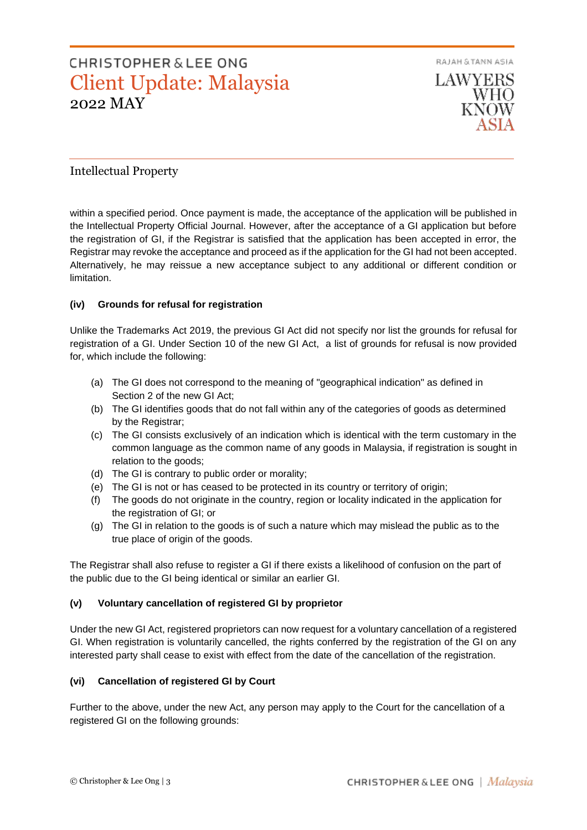RAJAH & TANN ASIA **LAWYERS** WHO KNOW

#### Intellectual Property

within a specified period. Once payment is made, the acceptance of the application will be published in the Intellectual Property Official Journal. However, after the acceptance of a GI application but before the registration of GI, if the Registrar is satisfied that the application has been accepted in error, the Registrar may revoke the acceptance and proceed as if the application for the GI had not been accepted. Alternatively, he may reissue a new acceptance subject to any additional or different condition or limitation.

#### **(iv) Grounds for refusal for registration**

Unlike the Trademarks Act 2019, the previous GI Act did not specify nor list the grounds for refusal for registration of a GI. Under Section 10 of the new GI Act, a list of grounds for refusal is now provided for, which include the following:

- (a) The GI does not correspond to the meaning of "geographical indication" as defined in Section 2 of the new GI Act;
- (b) The GI identifies goods that do not fall within any of the categories of goods as determined by the Registrar;
- (c) The GI consists exclusively of an indication which is identical with the term customary in the common language as the common name of any goods in Malaysia, if registration is sought in relation to the goods;
- (d) The GI is contrary to public order or morality;
- (e) The GI is not or has ceased to be protected in its country or territory of origin;
- (f) The goods do not originate in the country, region or locality indicated in the application for the registration of GI; or
- (g) The GI in relation to the goods is of such a nature which may mislead the public as to the true place of origin of the goods.

The Registrar shall also refuse to register a GI if there exists a likelihood of confusion on the part of the public due to the GI being identical or similar an earlier GI.

#### **(v) Voluntary cancellation of registered GI by proprietor**

Under the new GI Act, registered proprietors can now request for a voluntary cancellation of a registered GI. When registration is voluntarily cancelled, the rights conferred by the registration of the GI on any interested party shall cease to exist with effect from the date of the cancellation of the registration.

#### **(vi) Cancellation of registered GI by Court**

Further to the above, under the new Act, any person may apply to the Court for the cancellation of a registered GI on the following grounds: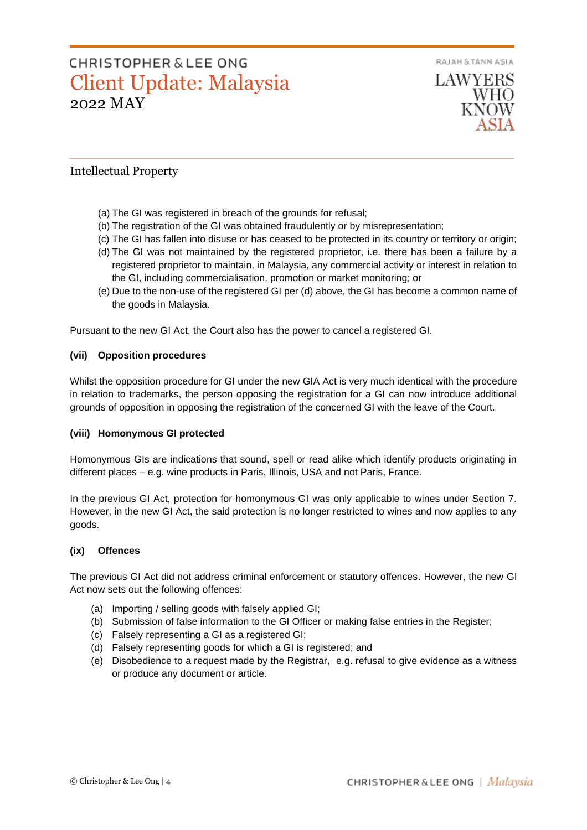

#### Intellectual Property

- (a) The GI was registered in breach of the grounds for refusal;
- (b) The registration of the GI was obtained fraudulently or by misrepresentation;
- (c) The GI has fallen into disuse or has ceased to be protected in its country or territory or origin;
- (d) The GI was not maintained by the registered proprietor, i.e. there has been a failure by a registered proprietor to maintain, in Malaysia, any commercial activity or interest in relation to the GI, including commercialisation, promotion or market monitoring; or
- (e) Due to the non-use of the registered GI per (d) above, the GI has become a common name of the goods in Malaysia.

Pursuant to the new GI Act, the Court also has the power to cancel a registered GI.

#### **(vii) Opposition procedures**

Whilst the opposition procedure for GI under the new GIA Act is very much identical with the procedure in relation to trademarks, the person opposing the registration for a GI can now introduce additional grounds of opposition in opposing the registration of the concerned GI with the leave of the Court.

#### **(viii) Homonymous GI protected**

Homonymous GIs are indications that sound, spell or read alike which identify products originating in different places – e.g. wine products in Paris, Illinois, USA and not Paris, France.

In the previous GI Act, protection for homonymous GI was only applicable to wines under Section 7. However, in the new GI Act, the said protection is no longer restricted to wines and now applies to any goods.

#### **(ix) Offences**

The previous GI Act did not address criminal enforcement or statutory offences. However, the new GI Act now sets out the following offences:

- (a) Importing / selling goods with falsely applied GI;
- (b) Submission of false information to the GI Officer or making false entries in the Register;
- (c) Falsely representing a GI as a registered GI;
- (d) Falsely representing goods for which a GI is registered; and
- (e) Disobedience to a request made by the Registrar, e.g. refusal to give evidence as a witness or produce any document or article.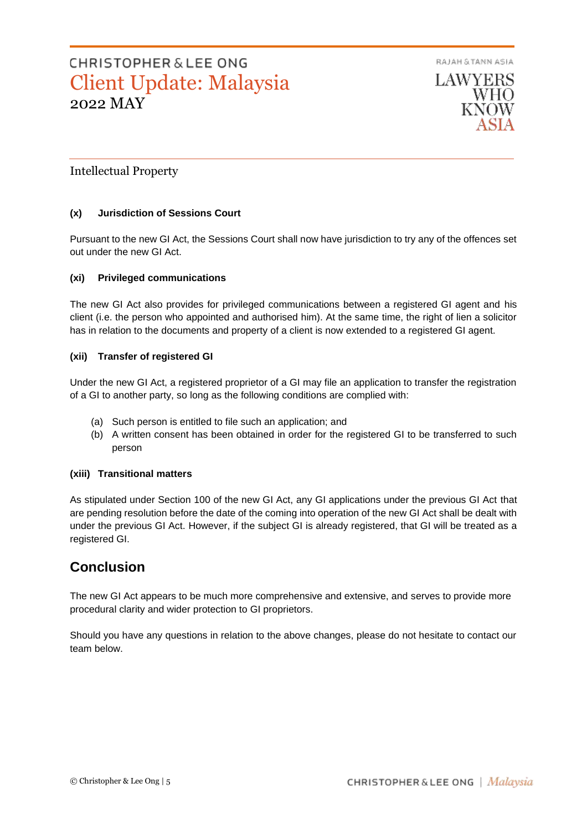

**LAWYERS** WHO

#### Intellectual Property

#### **(x) Jurisdiction of Sessions Court**

Pursuant to the new GI Act, the Sessions Court shall now have jurisdiction to try any of the offences set out under the new GI Act.

#### **(xi) Privileged communications**

The new GI Act also provides for privileged communications between a registered GI agent and his client (i.e. the person who appointed and authorised him). At the same time, the right of lien a solicitor has in relation to the documents and property of a client is now extended to a registered GI agent.

#### **(xii) Transfer of registered GI**

Under the new GI Act, a registered proprietor of a GI may file an application to transfer the registration of a GI to another party, so long as the following conditions are complied with:

- (a) Such person is entitled to file such an application; and
- (b) A written consent has been obtained in order for the registered GI to be transferred to such person

#### **(xiii) Transitional matters**

As stipulated under Section 100 of the new GI Act, any GI applications under the previous GI Act that are pending resolution before the date of the coming into operation of the new GI Act shall be dealt with under the previous GI Act. However, if the subject GI is already registered, that GI will be treated as a registered GI.

### **Conclusion**

The new GI Act appears to be much more comprehensive and extensive, and serves to provide more procedural clarity and wider protection to GI proprietors.

Should you have any questions in relation to the above changes, please do not hesitate to contact our team below.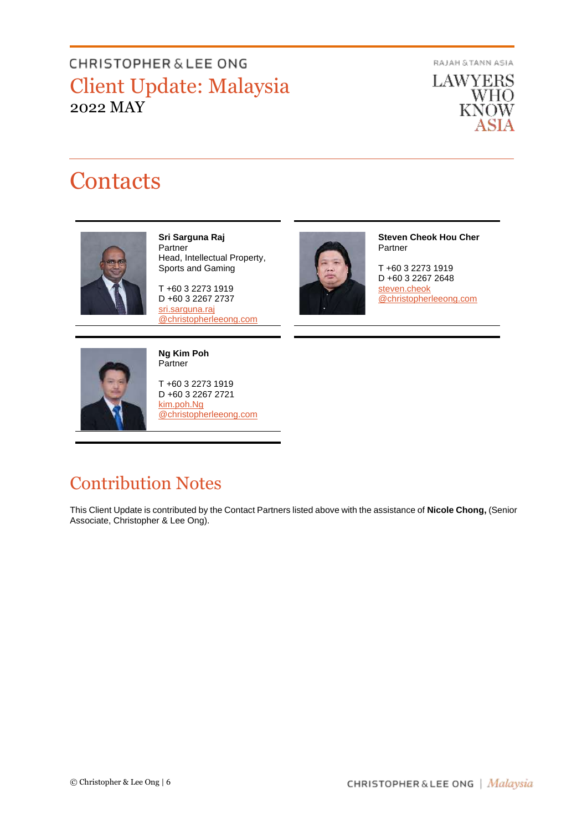RAJAH & TANN ASIA

**LAWYERS WHO KNOW** ASIA

# **Contacts**



**Sri Sarguna Raj** Partner Head, Intellectual Property, Sports and Gaming

T +60 3 2273 1919 D +60 3 2267 2737 [sri.sarguna.raj](mailto:sri.sarguna.raj@christopherleeong.com) [@christopherleeong.com](mailto:sri.sarguna.raj@christopherleeong.com)



**Steven Cheok Hou Cher** Partner

T +60 3 2273 1919 D +60 3 2267 2648 [steven.cheok](mailto:steven.cheok@christopherleeong.com) [@christopherleeong.com](mailto:steven.cheok@christopherleeong.com) 



**Ng Kim Poh Partner** 

T +60 3 2273 1919 D +60 3 2267 2721 [kim.poh.Ng](mailto:kim.poh.ng@christopherleeong.com) [@christopherleeong.com](mailto:kim.poh.ng@christopherleeong.com)

## Contribution Notes

This Client Update is contributed by the Contact Partners listed above with the assistance of **Nicole Chong,** (Senior Associate, Christopher & Lee Ong).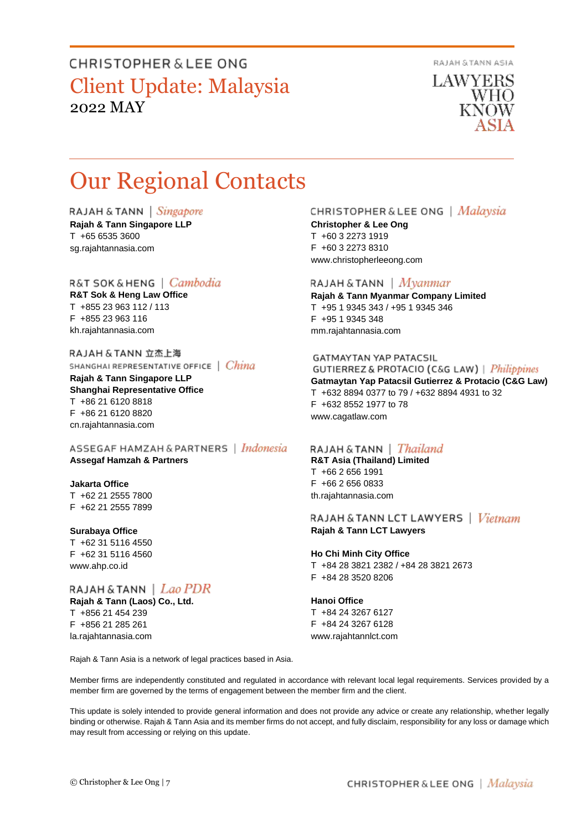RAJAH & TANN ASIA

**LAWYERS** WHO KNOW

# Our Regional Contacts

RAJAH & TANN | Singapore

**Rajah & Tann Singapore LLP** T +65 6535 3600 sg.rajahtannasia.com

#### R&T SOK&HENG | *Cambodia*

**R&T Sok & Heng Law Office** T +855 23 963 112 / 113 F +855 23 963 116 kh.rajahtannasia.com

RAJAH & TANN 立杰上海 SHANGHAI REPRESENTATIVE OFFICE | China

**Rajah & Tann Singapore LLP Shanghai Representative Office** T +86 21 6120 8818 F +86 21 6120 8820 cn.rajahtannasia.com

ASSEGAF HAMZAH & PARTNERS | Indonesia **Assegaf Hamzah & Partners**

#### **Jakarta Office**

T +62 21 2555 7800 F +62 21 2555 7899

#### **Surabaya Office**

T +62 31 5116 4550 F +62 31 5116 4560 www.ahp.co.id

#### RAJAH & TANN  $|$  *Lao PDR* **Rajah & Tann (Laos) Co., Ltd.**

T +856 21 454 239 F +856 21 285 261 la.rajahtannasia.com

#### CHRISTOPHER & LEE ONG | Malaysia

**Christopher & Lee Ong** T +60 3 2273 1919 F +60 3 2273 8310 www.christopherleeong.com

#### RAJAH & TANN  $\mid$  *Myanmar*

**Rajah & Tann Myanmar Company Limited** T +95 1 9345 343 / +95 1 9345 346 F +95 1 9345 348 mm.rajahtannasia.com

#### **GATMAYTAN YAP PATACSIL**

**GUTIERREZ & PROTACIO (C&G LAW)** | *Philippines* **Gatmaytan Yap Patacsil Gutierrez & Protacio (C&G Law)**  T +632 8894 0377 to 79 / +632 8894 4931 to 32 F +632 8552 1977 to 78 www.cagatlaw.com

#### RAJAH & TANN | *Thailand*

**R&T Asia (Thailand) Limited** T +66 2 656 1991 F +66 2 656 0833 th.rajahtannasia.com

RAJAH & TANN LCT LAWYERS | Vietnam **Rajah & Tann LCT Lawyers**

#### **Ho Chi Minh City Office**

T +84 28 3821 2382 / +84 28 3821 2673 F +84 28 3520 8206

#### **Hanoi Office**

T +84 24 3267 6127 F +84 24 3267 6128 www.rajahtannlct.com

Rajah & Tann Asia is a network of legal practices based in Asia.

Member firms are independently constituted and regulated in accordance with relevant local legal requirements. Services provided by a member firm are governed by the terms of engagement between the member firm and the client.

This update is solely intended to provide general information and does not provide any advice or create any relationship, whether legally binding or otherwise. Rajah & Tann Asia and its member firms do not accept, and fully disclaim, responsibility for any loss or damage which may result from accessing or relying on this update.